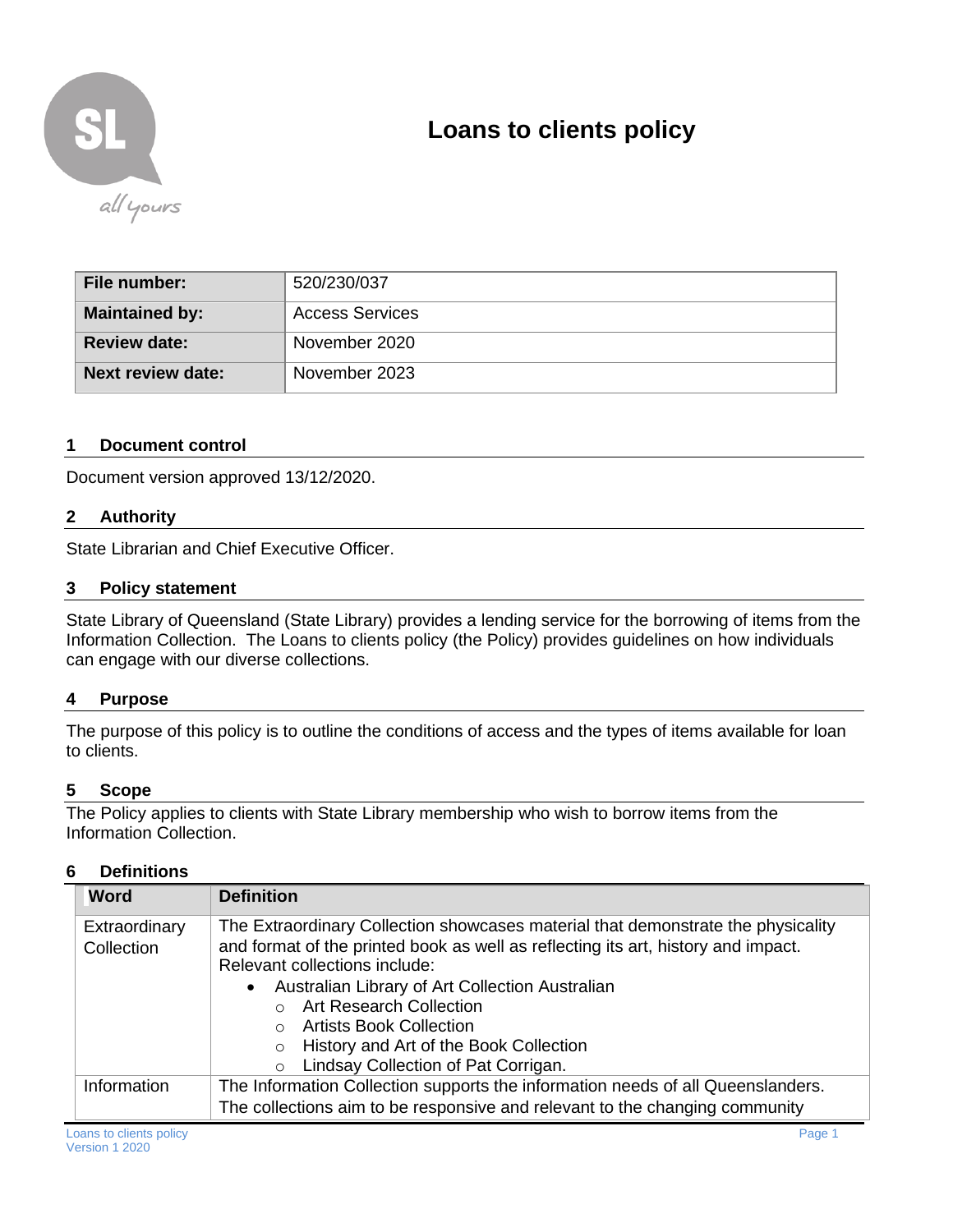

# **Loans to clients policy**

| ∣ File number: I         | 520/230/037            |
|--------------------------|------------------------|
| <b>Maintained by:</b>    | <b>Access Services</b> |
| <b>Review date:</b>      | November 2020          |
| <b>Next review date:</b> | November 2023          |

# **1 Document control**

Document version approved 13/12/2020.

# **2 Authority**

State Librarian and Chief Executive Officer.

### **3 Policy statement**

State Library of Queensland (State Library) provides a lending service for the borrowing of items from the Information Collection. The Loans to clients policy (the Policy) provides guidelines on how individuals can engage with our diverse collections.

#### **4 Purpose**

The purpose of this policy is to outline the conditions of access and the types of items available for loan to clients.

#### **5 Scope**

The Policy applies to clients with State Library membership who wish to borrow items from the Information Collection.

### **6 Definitions**

| <b>Word</b>                 | <b>Definition</b>                                                                                                                                                                                                                                                                                                                                                                                                            |  |
|-----------------------------|------------------------------------------------------------------------------------------------------------------------------------------------------------------------------------------------------------------------------------------------------------------------------------------------------------------------------------------------------------------------------------------------------------------------------|--|
| Extraordinary<br>Collection | The Extraordinary Collection showcases material that demonstrate the physicality<br>and format of the printed book as well as reflecting its art, history and impact.<br>Relevant collections include:<br>Australian Library of Art Collection Australian<br>$\bullet$<br>o Art Research Collection<br>○ Artists Book Collection<br>History and Art of the Book Collection<br>$\circ$<br>Lindsay Collection of Pat Corrigan. |  |
| Information                 | The Information Collection supports the information needs of all Queenslanders.                                                                                                                                                                                                                                                                                                                                              |  |
|                             | The collections aim to be responsive and relevant to the changing community                                                                                                                                                                                                                                                                                                                                                  |  |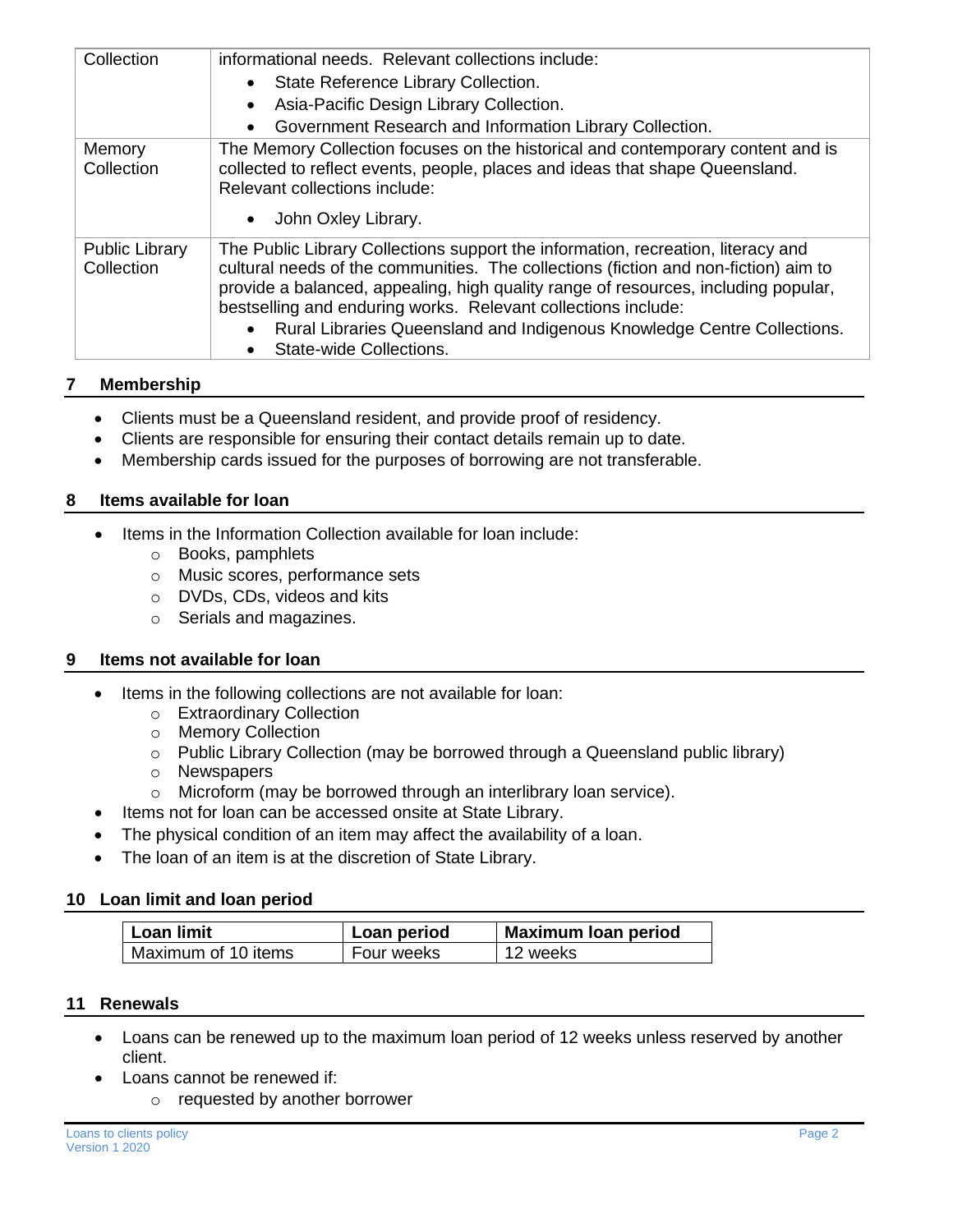| Collection                          | informational needs. Relevant collections include:<br>State Reference Library Collection.<br>$\bullet$<br>Asia-Pacific Design Library Collection.<br>Government Research and Information Library Collection.                                                                                                                                                                                                                                      |
|-------------------------------------|---------------------------------------------------------------------------------------------------------------------------------------------------------------------------------------------------------------------------------------------------------------------------------------------------------------------------------------------------------------------------------------------------------------------------------------------------|
| Memory<br>Collection                | The Memory Collection focuses on the historical and contemporary content and is<br>collected to reflect events, people, places and ideas that shape Queensland.<br>Relevant collections include:<br>John Oxley Library.<br>$\bullet$                                                                                                                                                                                                              |
| <b>Public Library</b><br>Collection | The Public Library Collections support the information, recreation, literacy and<br>cultural needs of the communities. The collections (fiction and non-fiction) aim to<br>provide a balanced, appealing, high quality range of resources, including popular,<br>bestselling and enduring works. Relevant collections include:<br>Rural Libraries Queensland and Indigenous Knowledge Centre Collections.<br>$\bullet$<br>State-wide Collections. |

# **7 Membership**

- Clients must be a Queensland resident, and provide proof of residency.
- Clients are responsible for ensuring their contact details remain up to date.
- Membership cards issued for the purposes of borrowing are not transferable.

### **8 Items available for loan**

- Items in the Information Collection available for loan include:
	- o Books, pamphlets
	- o Music scores, performance sets
	- o DVDs, CDs, videos and kits
	- o Serials and magazines.

# **9 Items not available for loan**

- Items in the following collections are not available for loan:
	- o Extraordinary Collection
	- o Memory Collection
	- o Public Library Collection (may be borrowed through a Queensland public library)
	- o Newspapers
	- o Microform (may be borrowed through an interlibrary loan service).
- Items not for loan can be accessed onsite at State Library.
- The physical condition of an item may affect the availability of a loan.
- The loan of an item is at the discretion of State Library.

# **10 Loan limit and loan period**

| ∣ Loan limit          | Loan period | <b>Maximum loan period</b> |
|-----------------------|-------------|----------------------------|
| l Maximum of 10 items | Four weeks  | 12 weeks                   |

# **11 Renewals**

- Loans can be renewed up to the maximum loan period of 12 weeks unless reserved by another client.
- Loans cannot be renewed if:
	- o requested by another borrower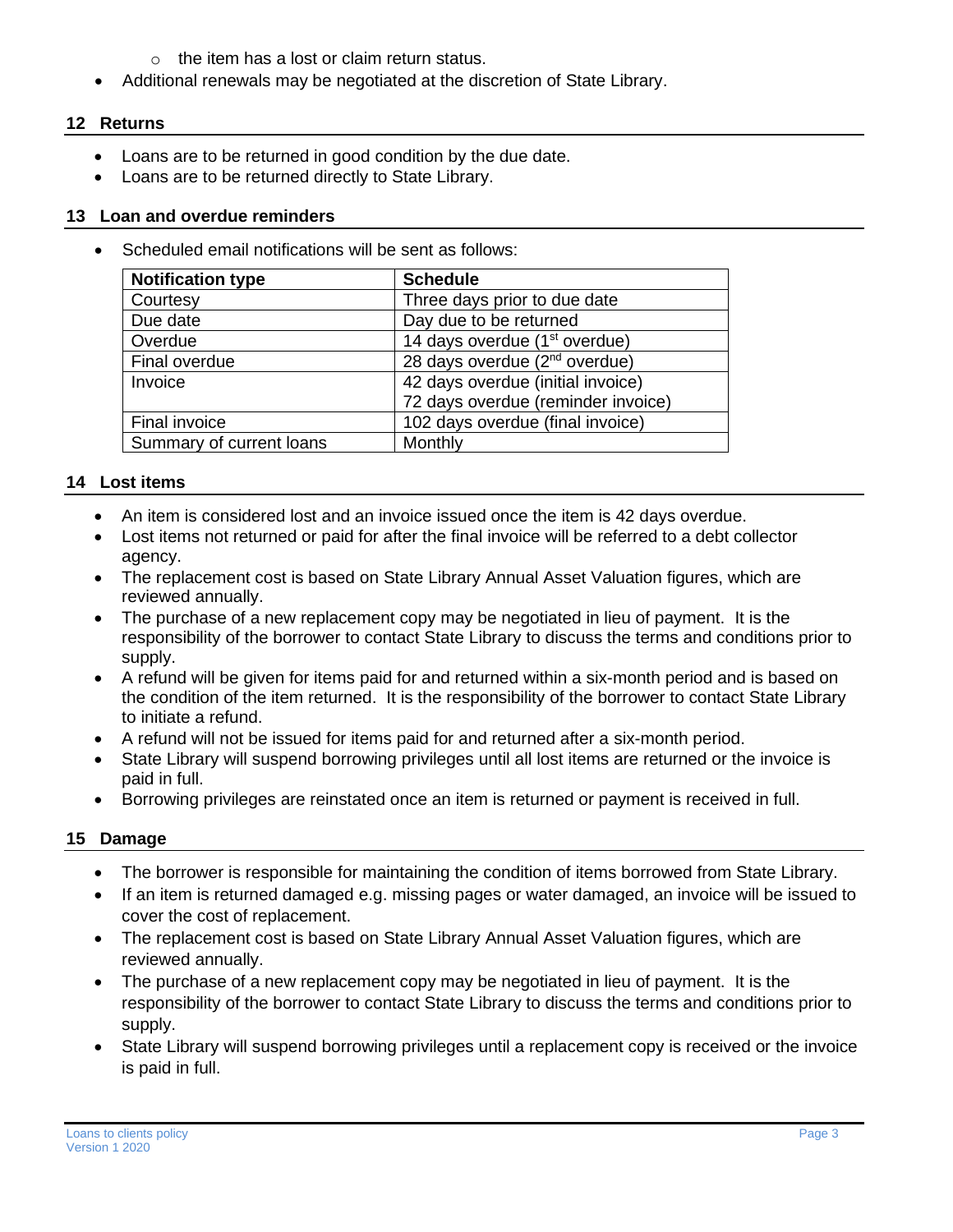- $\circ$  the item has a lost or claim return status.
- Additional renewals may be negotiated at the discretion of State Library.

# **12 Returns**

- Loans are to be returned in good condition by the due date.
- Loans are to be returned directly to State Library.

# **13 Loan and overdue reminders**

Scheduled email notifications will be sent as follows:

| <b>Notification type</b> | <b>Schedule</b>                           |
|--------------------------|-------------------------------------------|
| Courtesy                 | Three days prior to due date              |
| Due date                 | Day due to be returned                    |
| Overdue                  | 14 days overdue (1 <sup>st</sup> overdue) |
| Final overdue            | 28 days overdue $(2nd$ overdue)           |
| Invoice                  | 42 days overdue (initial invoice)         |
|                          | 72 days overdue (reminder invoice)        |
| Final invoice            | 102 days overdue (final invoice)          |
| Summary of current loans | Monthly                                   |

# **14 Lost items**

- An item is considered lost and an invoice issued once the item is 42 days overdue.
- Lost items not returned or paid for after the final invoice will be referred to a debt collector agency.
- The replacement cost is based on State Library Annual Asset Valuation figures, which are reviewed annually.
- The purchase of a new replacement copy may be negotiated in lieu of payment. It is the responsibility of the borrower to contact State Library to discuss the terms and conditions prior to supply.
- A refund will be given for items paid for and returned within a six-month period and is based on the condition of the item returned. It is the responsibility of the borrower to contact State Library to initiate a refund.
- A refund will not be issued for items paid for and returned after a six-month period.
- State Library will suspend borrowing privileges until all lost items are returned or the invoice is paid in full.
- Borrowing privileges are reinstated once an item is returned or payment is received in full.

# **15 Damage**

- The borrower is responsible for maintaining the condition of items borrowed from State Library.
- If an item is returned damaged e.g. missing pages or water damaged, an invoice will be issued to cover the cost of replacement.
- The replacement cost is based on State Library Annual Asset Valuation figures, which are reviewed annually.
- The purchase of a new replacement copy may be negotiated in lieu of payment. It is the responsibility of the borrower to contact State Library to discuss the terms and conditions prior to supply.
- State Library will suspend borrowing privileges until a replacement copy is received or the invoice is paid in full.